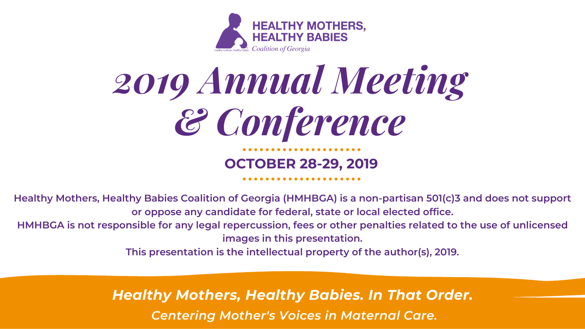## **OCTOBER 28-29, 2019**



# *2019 Annual Meeting & Conference*

## *Centering Mother's Voices in Maternal Care. Healthy Mothers, Healthy Babies. In That Order.*



**Healthy Mothers, Healthy Babies Coalition of Georgia (HMHBGA) is a non-partisan 501(c)3 and does not support or oppose any candidate for federal, state or local elected office.** HMHBGA is not responsible for any legal repercussion, fees or other penalties related to the use of unlicensed **images in this presentation.**

**This presentation is the intellectual property of the author(s), 2019.**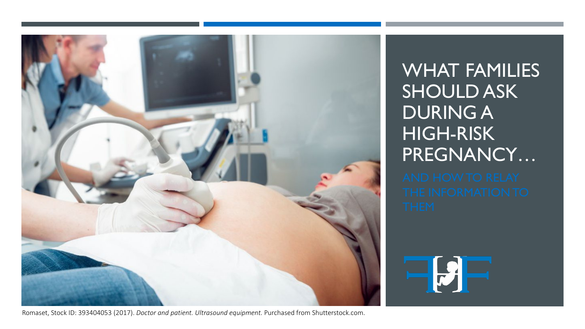

Romaset, Stock ID: 393404053 (2017). *Doctor and patient. Ultrasound equipment.* Purchased from Shutterstock.com.

WHAT FAMILIES SHOULD ASK DURING A HIGH-RISK PREGNANCY…

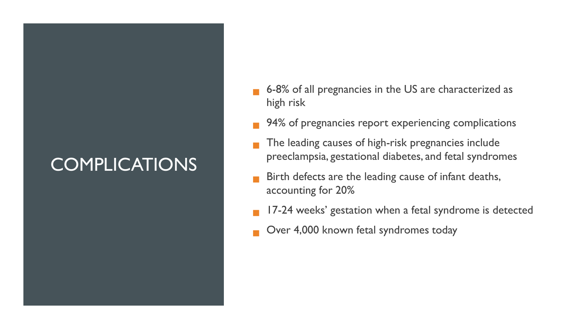## **COMPLICATIONS**

- 6-8% of all pregnancies in the US are characterized as high risk
- 94% of pregnancies report experiencing complications
- The leading causes of high-risk pregnancies include preeclampsia, gestational diabetes, and fetal syndromes
- Birth defects are the leading cause of infant deaths, accounting for 20%
- 17-24 weeks' gestation when a fetal syndrome is detected
- Over 4,000 known fetal syndromes today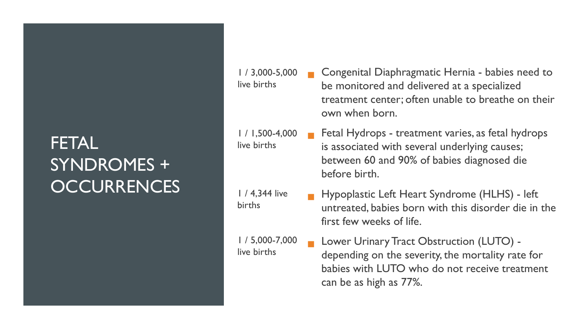## **FETAL** SYNDROMES + **OCCURRENCES**

live births

live births

1 / 4,344 live

births

live births

 Congenital Diaphragmatic Hernia - babies need to be monitored and delivered at a specialized treatment center; often unable to breathe on their own when born. 1 / 3,000-5,000

 Fetal Hydrops - treatment varies, as fetal hydrops is associated with several underlying causes; between 60 and 90% of babies diagnosed die before birth. 1 / 1,500-4,000

> **Hypoplastic Left Heart Syndrome (HLHS) - left** untreated, babies born with this disorder die in the first few weeks of life.

 Lower Urinary Tract Obstruction (LUTO) depending on the severity, the mortality rate for babies with LUTO who do not receive treatment can be as high as 77%. 1 / 5,000-7,000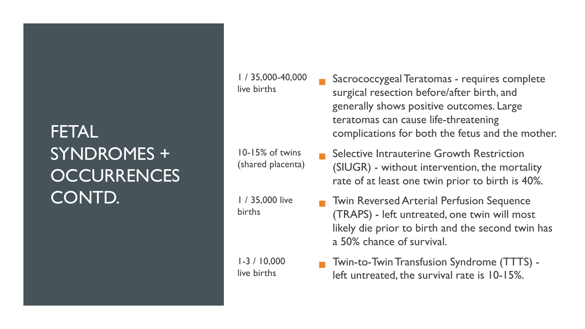## FETAL SYNDROMES + **OCCURRENCES** CONTD.

1 / 35,000-40,000 live births

10-15% of twins (shared placenta)

1 / 35,000 live births

1-3 / 10,000 live births

- Sacrococcygeal Teratomas requires complete surgical resection before/after birth, and generally shows positive outcomes. Large teratomas can cause life-threatening complications for both the fetus and the mother.
- Selective Intrauterine Growth Restriction (SIUGR) - without intervention, the mortality rate of at least one twin prior to birth is 40%.
- Twin Reversed Arterial Perfusion Sequence (TRAPS) - left untreated, one twin will most likely die prior to birth and the second twin has a 50% chance of survival.
- Twin-to-Twin Transfusion Syndrome (TTTS) left untreated, the survival rate is 10-15%.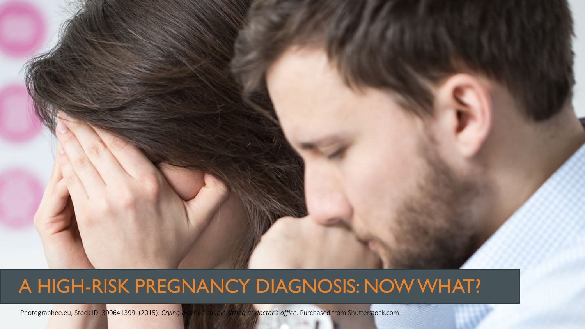

## A HIGH-RISK PREGNANCY DIAGNOSIS: NOW WHAT?

Photographee.eu, Stock ID: 300641399 (2015). *Crying married couple sitting at doctor's office*. Purchased from Shutterstock.com.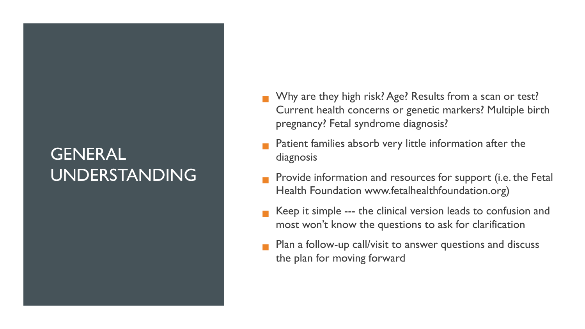#### GENERAL UNDERSTANDING

- Why are they high risk? Age? Results from a scan or test? Current health concerns or genetic markers? Multiple birth pregnancy? Fetal syndrome diagnosis?
- Patient families absorb very little information after the diagnosis
- Provide information and resources for support (i.e. the Fetal Health Foundation www.fetalhealthfoundation.org)
- Keep it simple --- the clinical version leads to confusion and most won't know the questions to ask for clarification
- Plan a follow-up call/visit to answer questions and discuss the plan for moving forward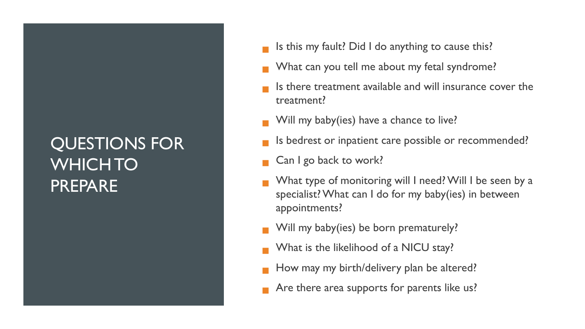## QUESTIONS FOR WHICH TO PREPARE

- Is this my fault? Did I do anything to cause this?
- What can you tell me about my fetal syndrome?
- Is there treatment available and will insurance cover the treatment?
- Will my baby(ies) have a chance to live?
- Is bedrest or inpatient care possible or recommended?
- Can I go back to work?
- What type of monitoring will I need? Will I be seen by a specialist? What can I do for my baby(ies) in between appointments?
- Will my baby(ies) be born prematurely?
- What is the likelihood of a NICU stay?
- How may my birth/delivery plan be altered?
- Are there area supports for parents like us?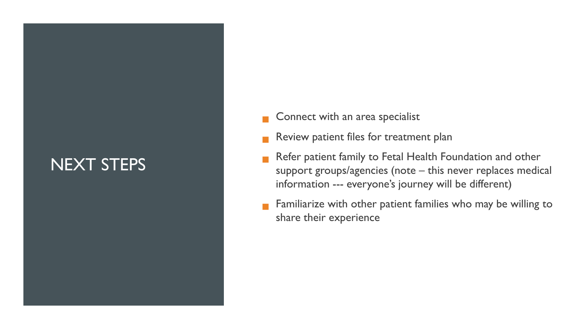#### NEXT STEPS

- Connect with an area specialist
- Review patient files for treatment plan
- Refer patient family to Fetal Health Foundation and other support groups/agencies (note – this never replaces medical information --- everyone's journey will be different)
- Familiarize with other patient families who may be willing to share their experience